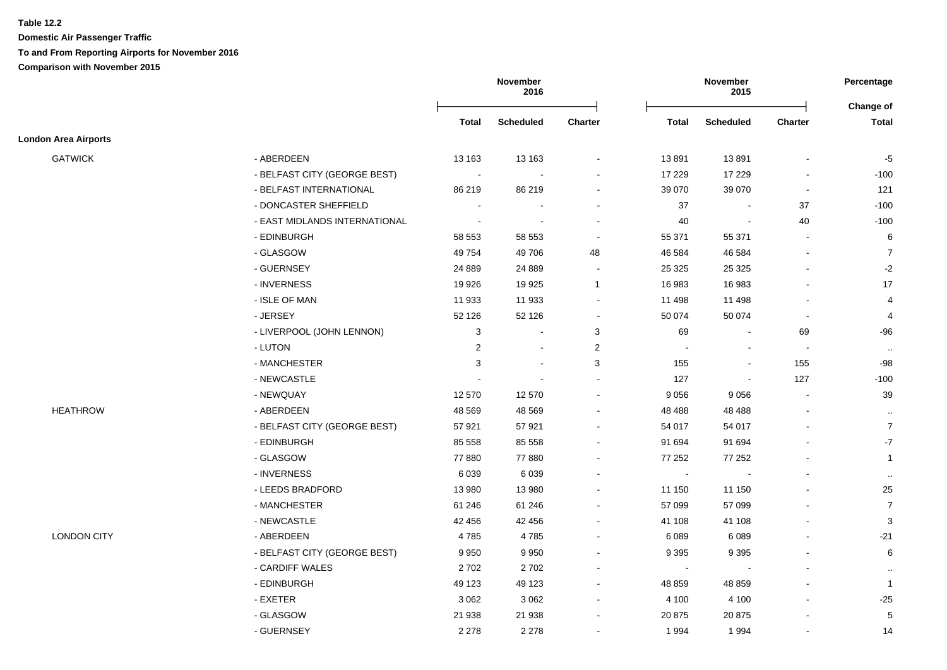**Domestic Air Passenger Traffic To and From Reporting Airports for November 2016 Comparison with November 2015**

|                             |                               |                | November<br>2016         |                          | November<br>2015         |                          |                          | Percentage<br>Change of |
|-----------------------------|-------------------------------|----------------|--------------------------|--------------------------|--------------------------|--------------------------|--------------------------|-------------------------|
|                             |                               | <b>Total</b>   | <b>Scheduled</b>         | <b>Charter</b>           | <b>Total</b>             | <b>Scheduled</b>         | <b>Charter</b>           | <b>Total</b>            |
| <b>London Area Airports</b> |                               |                |                          |                          |                          |                          |                          |                         |
| <b>GATWICK</b>              | - ABERDEEN                    | 13 163         | 13 163                   | $\blacksquare$           | 13891                    | 13891                    | ÷,                       | $-5$                    |
|                             | - BELFAST CITY (GEORGE BEST)  | $\sim$         |                          | $\blacksquare$           | 17 229                   | 17 229                   | $\blacksquare$           | $-100$                  |
|                             | - BELFAST INTERNATIONAL       | 86 219         | 86 219                   | $\blacksquare$           | 39 0 70                  | 39 0 70                  | $\blacksquare$           | 121                     |
|                             | - DONCASTER SHEFFIELD         | $\blacksquare$ | $\blacksquare$           | $\blacksquare$           | 37                       | $\blacksquare$           | 37                       | $-100$                  |
|                             | - EAST MIDLANDS INTERNATIONAL | $\blacksquare$ | $\overline{\phantom{a}}$ | $\blacksquare$           | 40                       | $\overline{\phantom{a}}$ | 40                       | $-100$                  |
|                             | - EDINBURGH                   | 58 553         | 58 553                   | $\blacksquare$           | 55 371                   | 55 371                   | $\blacksquare$           | 6                       |
|                             | - GLASGOW                     | 49 7 54        | 49 706                   | 48                       | 46 584                   | 46 584                   |                          | $\overline{7}$          |
|                             | - GUERNSEY                    | 24 8 89        | 24 8 89                  | $\blacksquare$           | 25 3 25                  | 25 3 25                  |                          | $-2$                    |
|                             | - INVERNESS                   | 19 9 26        | 19 9 25                  | $\mathbf{1}$             | 16 983                   | 16 983                   | $\blacksquare$           | 17                      |
|                             | - ISLE OF MAN                 | 11 933         | 11 933                   | $\blacksquare$           | 11 498                   | 11 498                   | $\blacksquare$           | $\overline{4}$          |
|                             | - JERSEY                      | 52 126         | 52 126                   | $\blacksquare$           | 50 074                   | 50 074                   | $\blacksquare$           | 4                       |
|                             | - LIVERPOOL (JOHN LENNON)     | 3              | $\sim$                   | 3                        | 69                       |                          | 69                       | -96                     |
|                             | - LUTON                       | 2              | $\blacksquare$           | 2                        | $\overline{\phantom{a}}$ |                          | $\sim$                   | $\sim$                  |
|                             | - MANCHESTER                  | 3              | $\blacksquare$           | 3                        | 155                      |                          | 155                      | $-98$                   |
|                             | - NEWCASTLE                   | $\blacksquare$ | $\overline{a}$           | ÷                        | 127                      | $\blacksquare$           | 127                      | $-100$                  |
|                             | - NEWQUAY                     | 12 570         | 12 570                   | ÷                        | 9056                     | 9056                     | $\sim$                   | 39                      |
| <b>HEATHROW</b>             | - ABERDEEN                    | 48 5 69        | 48 5 69                  | $\blacksquare$           | 48 4 88                  | 48 4 88                  |                          | $\sim$                  |
|                             | - BELFAST CITY (GEORGE BEST)  | 57 921         | 57 921                   | $\blacksquare$           | 54 017                   | 54 017                   | $\blacksquare$           | $\overline{7}$          |
|                             | - EDINBURGH                   | 85 558         | 85 558                   | $\blacksquare$           | 91 694                   | 91 694                   |                          | $-7$                    |
|                             | - GLASGOW                     | 77880          | 77 880                   | $\overline{\phantom{a}}$ | 77 252                   | 77 252                   |                          | $\mathbf{1}$            |
|                             | - INVERNESS                   | 6039           | 6 0 3 9                  | $\blacksquare$           | $\sim$                   |                          |                          | $\sim$                  |
|                             | - LEEDS BRADFORD              | 13 980         | 13 980                   | $\blacksquare$           | 11 150                   | 11 150                   |                          | 25                      |
|                             | - MANCHESTER                  | 61 24 6        | 61 24 6                  | $\blacksquare$           | 57 099                   | 57 099                   | $\blacksquare$           | $\overline{7}$          |
|                             | - NEWCASTLE                   | 42 456         | 42 45 6                  | $\overline{\phantom{a}}$ | 41 108                   | 41 108                   | $\overline{\phantom{a}}$ | 3                       |
| LONDON CITY                 | - ABERDEEN                    | 4785           | 4785                     | $\blacksquare$           | 6089                     | 6089                     |                          | $-21$                   |
|                             | - BELFAST CITY (GEORGE BEST)  | 9950           | 9 9 5 0                  | $\overline{a}$           | 9 3 9 5                  | 9 3 9 5                  | $\sim$                   | 6                       |
|                             | - CARDIFF WALES               | 2702           | 2702                     |                          | $\sim$                   |                          |                          | $\mathbf{H}$            |
|                             | - EDINBURGH                   | 49 123         | 49 123                   | $\blacksquare$           | 48 859                   | 48 859                   |                          | $\mathbf{1}$            |
|                             | - EXETER                      | 3 0 6 2        | 3 0 6 2                  | $\blacksquare$           | 4 100                    | 4 100                    |                          | $-25$                   |
|                             | - GLASGOW                     | 21 938         | 21 938                   | $\blacksquare$           | 20 875                   | 20 875                   |                          | $\sqrt{5}$              |
|                             | - GUERNSEY                    | 2 2 7 8        | 2 2 7 8                  | $\blacksquare$           | 1994                     | 1994                     |                          | 14                      |
|                             |                               |                |                          |                          |                          |                          |                          |                         |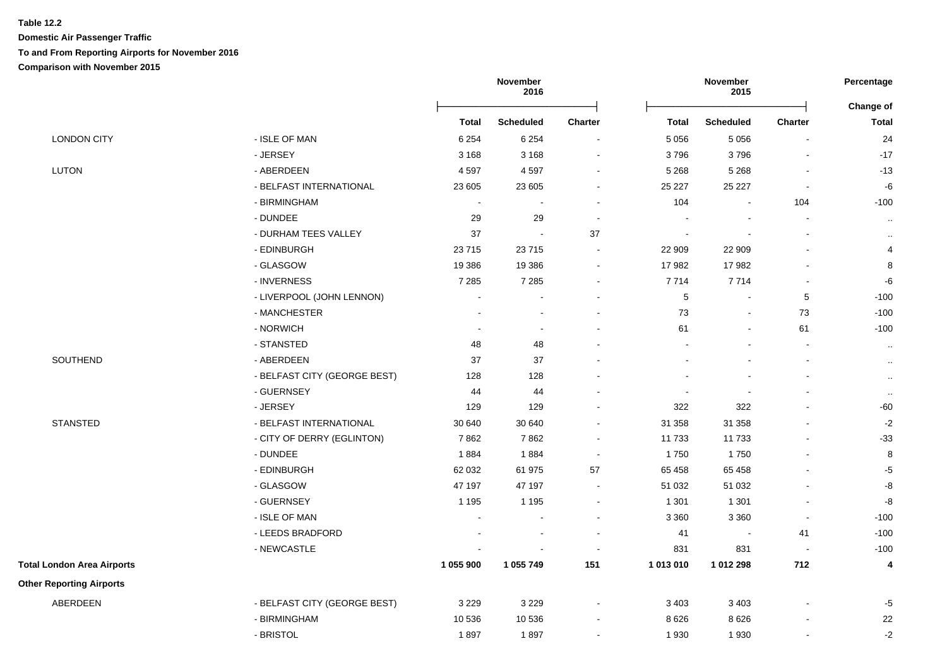**Domestic Air Passenger Traffic To and From Reporting Airports for November 2016 Comparison with November 2015**

|                                   |                              |                | November<br>2016           |                | November<br>2015 |                  |                          | Percentage<br><b>Change of</b> |
|-----------------------------------|------------------------------|----------------|----------------------------|----------------|------------------|------------------|--------------------------|--------------------------------|
|                                   |                              | <b>Total</b>   | <b>Scheduled</b>           | <b>Charter</b> | <b>Total</b>     | <b>Scheduled</b> | <b>Charter</b>           | <b>Total</b>                   |
| <b>LONDON CITY</b>                | - ISLE OF MAN                | 6 2 5 4        | 6 2 5 4                    | $\sim$         | 5 0 5 6          | 5 0 5 6          | $\blacksquare$           | 24                             |
|                                   | - JERSEY                     | 3 1 6 8        | 3 1 6 8                    | $\sim$         | 3796             | 3796             | L,                       | $-17$                          |
| <b>LUTON</b>                      | - ABERDEEN                   | 4597           | 4 5 9 7                    | $\sim$         | 5 2 6 8          | 5 2 6 8          | L,                       | $-13$                          |
|                                   | - BELFAST INTERNATIONAL      | 23 605         | 23 605                     |                | 25 2 27          | 25 227           | $\blacksquare$           | $\textnormal{-}6$              |
|                                   | - BIRMINGHAM                 | $\blacksquare$ |                            | $\blacksquare$ | 104              | $\blacksquare$   | 104                      | $-100$                         |
|                                   | - DUNDEE                     | 29             | 29                         | $\sim$         | $\blacksquare$   | $\blacksquare$   | $\blacksquare$           | $\sim$                         |
|                                   | - DURHAM TEES VALLEY         | 37             | $\mathcal{L}_{\mathbf{r}}$ | 37             | $\blacksquare$   |                  | $\overline{a}$           | $\cdot$ .                      |
|                                   | - EDINBURGH                  | 23715          | 23 715                     | $\overline{a}$ | 22 909           | 22 909           | $\sim$                   | $\overline{4}$                 |
|                                   | - GLASGOW                    | 19 3 86        | 19 3 86                    | $\overline{a}$ | 17982            | 17982            | $\overline{a}$           | 8                              |
|                                   | - INVERNESS                  | 7 2 8 5        | 7 2 8 5                    |                | 7714             | 7714             |                          | $-6$                           |
|                                   | - LIVERPOOL (JOHN LENNON)    | $\sim$         |                            | $\sim$         | 5                | $\blacksquare$   | 5                        | $-100$                         |
|                                   | - MANCHESTER                 |                |                            | $\blacksquare$ | 73               | $\blacksquare$   | 73                       | $-100$                         |
|                                   | - NORWICH                    | $\blacksquare$ | $\sim$                     | $\blacksquare$ | 61               | $\blacksquare$   | 61                       | $-100$                         |
|                                   | - STANSTED                   | 48             | 48                         |                |                  |                  | $\overline{\phantom{a}}$ | $\sim$                         |
| SOUTHEND                          | - ABERDEEN                   | 37             | 37                         |                |                  |                  | $\overline{\phantom{a}}$ | $\cdot$                        |
|                                   | - BELFAST CITY (GEORGE BEST) | 128            | 128                        | $\sim$         |                  | $\blacksquare$   | $\mathbf{r}$             | $\cdot\cdot$                   |
|                                   | - GUERNSEY                   | 44             | 44                         |                | $\blacksquare$   | $\blacksquare$   | $\overline{\phantom{a}}$ | $\sim$                         |
|                                   | - JERSEY                     | 129            | 129                        | $\blacksquare$ | 322              | 322              | $\mathbf{r}$             | $-60$                          |
| <b>STANSTED</b>                   | - BELFAST INTERNATIONAL      | 30 640         | 30 640                     | $\blacksquare$ | 31 358           | 31 358           | L,                       | $-2$                           |
|                                   | - CITY OF DERRY (EGLINTON)   | 7862           | 7862                       | $\sim$         | 11733            | 11733            |                          | $-33$                          |
|                                   | - DUNDEE                     | 1884           | 1884                       | $\sim$         | 1750             | 1750             | $\overline{a}$           | 8                              |
|                                   | - EDINBURGH                  | 62 032         | 61 975                     | 57             | 65 4 58          | 65 458           | $\sim$                   | $-5$                           |
|                                   | - GLASGOW                    | 47 197         | 47 197                     | $\sim$         | 51 032           | 51 032           | $\blacksquare$           | $\mbox{-}8$                    |
|                                   | - GUERNSEY                   | 1 1 9 5        | 1 1 9 5                    | $\sim$         | 1 3 0 1          | 1 3 0 1          | $\blacksquare$           | -8                             |
|                                   | - ISLE OF MAN                |                |                            |                | 3 3 6 0          | 3 3 6 0          | $\blacksquare$           | $-100$                         |
|                                   | - LEEDS BRADFORD             |                |                            | $\blacksquare$ | 41               | $\sim$           | 41                       | $-100$                         |
|                                   | - NEWCASTLE                  |                |                            | $\sim$         | 831              | 831              | $\sim$                   | $-100$                         |
| <b>Total London Area Airports</b> |                              | 1 055 900      | 1 055 749                  | 151            | 1 013 010        | 1 012 298        | 712                      | 4                              |
| <b>Other Reporting Airports</b>   |                              |                |                            |                |                  |                  |                          |                                |
| ABERDEEN                          | - BELFAST CITY (GEORGE BEST) | 3 2 2 9        | 3 2 2 9                    | $\blacksquare$ | 3 4 0 3          | 3 4 0 3          |                          | $-5$                           |
|                                   | - BIRMINGHAM                 | 10 536         | 10 536                     |                | 8 6 2 6          | 8 6 2 6          |                          | 22                             |
|                                   | - BRISTOL                    | 1897           | 1897                       |                | 1930             | 1930             |                          | $-2$                           |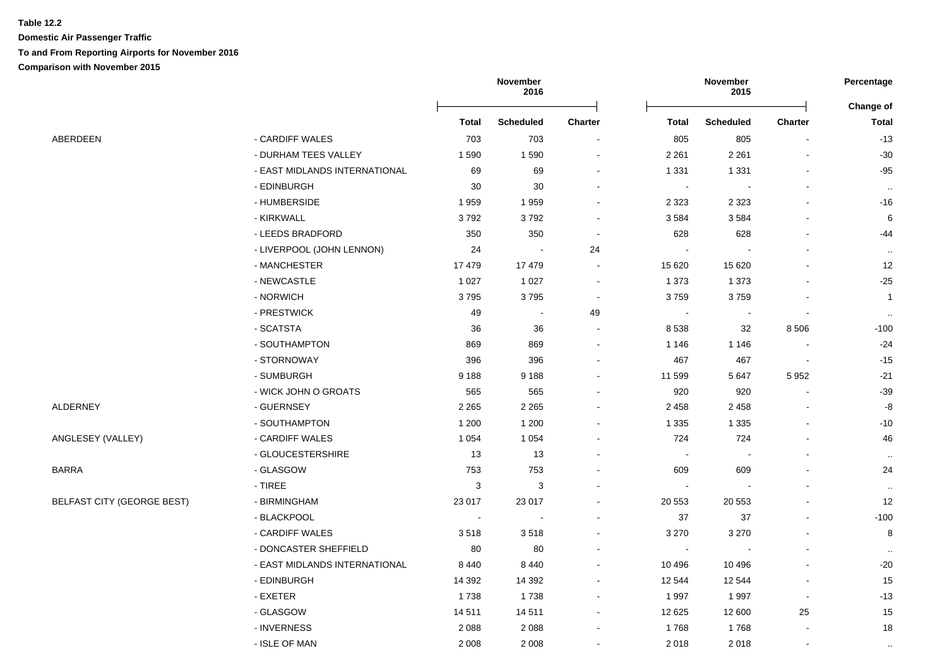**Domestic Air Passenger Traffic To and From Reporting Airports for November 2016 Comparison with November 2015**

|                                   |                               | November<br>2016         |                  |                | Percentage               |                  |                |                  |
|-----------------------------------|-------------------------------|--------------------------|------------------|----------------|--------------------------|------------------|----------------|------------------|
|                                   |                               |                          |                  |                |                          |                  |                | <b>Change of</b> |
|                                   |                               | <b>Total</b>             | <b>Scheduled</b> | Charter        | <b>Total</b>             | <b>Scheduled</b> | Charter        | <b>Total</b>     |
| ABERDEEN                          | - CARDIFF WALES               | 703                      | 703              |                | 805                      | 805              |                | $-13$            |
|                                   | - DURHAM TEES VALLEY          | 1590                     | 1 5 9 0          |                | 2 2 6 1                  | 2 2 6 1          |                | $-30$            |
|                                   | - EAST MIDLANDS INTERNATIONAL | 69                       | 69               |                | 1 3 3 1                  | 1 3 3 1          |                | $-95$            |
|                                   | - EDINBURGH                   | 30                       | 30               |                |                          |                  |                | $\sim$           |
|                                   | - HUMBERSIDE                  | 1959                     | 1 9 5 9          |                | 2 3 2 3                  | 2 3 2 3          |                | $-16$            |
|                                   | - KIRKWALL                    | 3792                     | 3792             |                | 3584                     | 3584             |                | 6                |
|                                   | - LEEDS BRADFORD              | 350                      | 350              | $\blacksquare$ | 628                      | 628              |                | $-44$            |
|                                   | - LIVERPOOL (JOHN LENNON)     | 24                       | $\blacksquare$   | 24             |                          |                  |                | $\cdot$ .        |
|                                   | - MANCHESTER                  | 17479                    | 17 479           | ۰              | 15 6 20                  | 15 6 20          |                | 12               |
|                                   | - NEWCASTLE                   | 1 0 2 7                  | 1 0 2 7          |                | 1 3 7 3                  | 1 3 7 3          |                | $-25$            |
|                                   | - NORWICH                     | 3795                     | 3795             | $\sim$         | 3759                     | 3759             |                | $\overline{1}$   |
|                                   | - PRESTWICK                   | 49                       | $\sim$           | 49             |                          | $\sim$           | $\blacksquare$ | $\sim$           |
|                                   | - SCATSTA                     | 36                       | 36               |                | 8538                     | 32               | 8506           | $-100$           |
|                                   | - SOUTHAMPTON                 | 869                      | 869              |                | 1 1 4 6                  | 1 1 4 6          |                | $-24$            |
|                                   | - STORNOWAY                   | 396                      | 396              |                | 467                      | 467              |                | $-15$            |
|                                   | - SUMBURGH                    | 9 1 8 8                  | 9 1 8 8          |                | 11 599                   | 5647             | 5 9 5 2        | $-21$            |
|                                   | - WICK JOHN O GROATS          | 565                      | 565              |                | 920                      | 920              |                | $-39$            |
| ALDERNEY                          | - GUERNSEY                    | 2 2 6 5                  | 2 2 6 5          |                | 2 4 5 8                  | 2 4 5 8          |                | -8               |
|                                   | - SOUTHAMPTON                 | 1 200                    | 1 200            |                | 1 3 3 5                  | 1 3 3 5          |                | $-10$            |
| ANGLESEY (VALLEY)                 | - CARDIFF WALES               | 1 0 5 4                  | 1 0 5 4          |                | 724                      | 724              |                | 46               |
|                                   | - GLOUCESTERSHIRE             | 13                       | 13               |                |                          |                  |                | $\cdot$ .        |
| BARRA                             | - GLASGOW                     | 753                      | 753              |                | 609                      | 609              |                | 24               |
|                                   | - TIREE                       | 3                        | 3                |                |                          |                  |                | $\sim$           |
| <b>BELFAST CITY (GEORGE BEST)</b> | - BIRMINGHAM                  | 23 017                   | 23 017           |                | 20 553                   | 20 5 53          |                | 12               |
|                                   | - BLACKPOOL                   | $\overline{\phantom{a}}$ |                  |                | 37                       | 37               |                | $-100$           |
|                                   | - CARDIFF WALES               | 3518                     | 3518             |                | 3 2 7 0                  | 3 2 7 0          |                | 8                |
|                                   | - DONCASTER SHEFFIELD         | 80                       | 80               |                | $\overline{\phantom{a}}$ | $\sim$           |                | $\sim$           |
|                                   | - EAST MIDLANDS INTERNATIONAL | 8 4 4 0                  | 8 4 4 0          | $\blacksquare$ | 10 4 9 6                 | 10 4 9 6         |                | $-20$            |
|                                   | - EDINBURGH                   | 14 3 9 2                 | 14 3 9 2         | $\blacksquare$ | 12 544                   | 12 544           |                | 15               |
|                                   | - EXETER                      | 1738                     | 1738             | ۰              | 1997                     | 1997             | $\blacksquare$ | $-13$            |
|                                   | - GLASGOW                     | 14 5 11                  | 14 511           | $\blacksquare$ | 12 6 25                  | 12 600           | 25             | 15               |
|                                   | - INVERNESS                   | 2088                     | 2 0 8 8          |                | 1768                     | 1768             |                | 18               |
|                                   | - ISLE OF MAN                 | 2 0 0 8                  | 2 0 0 8          | $\overline{a}$ | 2018                     | 2018             | $\sim$         |                  |
|                                   |                               |                          |                  |                |                          |                  |                | $\cdot$ .        |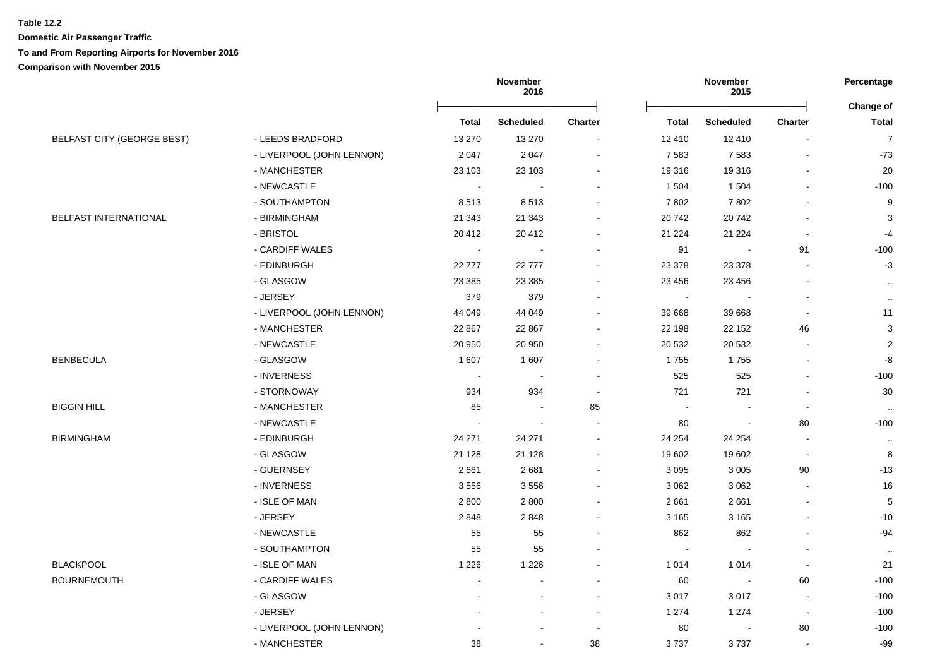**Domestic Air Passenger Traffic**

## **To and From Reporting Airports for November 2016**

**Comparison with November 2015**

|                                   |                           | November<br>2016 |                  |                | November<br>2015 |                          | Percentage               |                           |
|-----------------------------------|---------------------------|------------------|------------------|----------------|------------------|--------------------------|--------------------------|---------------------------|
|                                   |                           | <b>Total</b>     | <b>Scheduled</b> | Charter        | <b>Total</b>     | <b>Scheduled</b>         | Charter                  | Change of<br><b>Total</b> |
| <b>BELFAST CITY (GEORGE BEST)</b> | - LEEDS BRADFORD          | 13 270           | 13 270           | $\blacksquare$ | 12 410           | 12 410                   | $\sim$                   | $\overline{7}$            |
|                                   | - LIVERPOOL (JOHN LENNON) | 2 0 4 7          | 2 0 4 7          | $\blacksquare$ | 7583             | 7583                     | $\blacksquare$           | $-73$                     |
|                                   | - MANCHESTER              | 23 103           | 23 103           |                | 19 316           | 19 316                   |                          | 20                        |
|                                   | - NEWCASTLE               | <b>.</b>         |                  |                | 1 5 0 4          | 1 504                    |                          | $-100$                    |
|                                   | - SOUTHAMPTON             | 8513             | 8513             |                | 7802             | 7802                     |                          | $\boldsymbol{9}$          |
| BELFAST INTERNATIONAL             | - BIRMINGHAM              | 21 343           | 21 343           |                | 20742            | 20742                    |                          | 3                         |
|                                   | - BRISTOL                 | 20 412           | 20 412           |                | 21 2 24          | 21 2 24                  |                          | $-4$                      |
|                                   | - CARDIFF WALES           | $\blacksquare$   | $\sim$           |                | 91               | $\overline{\phantom{a}}$ | 91                       | $-100$                    |
|                                   | - EDINBURGH               | 22777            | 22 777           | ۰              | 23 378           | 23 378                   | $\blacksquare$           | $-3$                      |
|                                   | - GLASGOW                 | 23 3 8 5         | 23 3 85          |                | 23 4 5 6         | 23 4 5 6                 |                          |                           |
|                                   | - JERSEY                  | 379              | 379              |                |                  |                          |                          | $\cdot$ .                 |
|                                   | - LIVERPOOL (JOHN LENNON) | 44 049           | 44 049           |                | 39 668           | 39 668                   | $\blacksquare$           | $\cdot\cdot$<br>11        |
|                                   | - MANCHESTER              | 22 867           | 22 867           |                | 22 198           | 22 152                   | 46                       | $\ensuremath{\mathsf{3}}$ |
|                                   | - NEWCASTLE               | 20 950           | 20 950           |                | 20 532           | 20 532                   |                          | $\sqrt{2}$                |
| <b>BENBECULA</b>                  | - GLASGOW                 | 1 607            | 1 607            |                | 1755             | 1755                     |                          | $\mbox{-}8$               |
|                                   | - INVERNESS               | $\sim$           | $\sim$           |                | 525              | 525                      | $\blacksquare$           | $-100$                    |
|                                   | - STORNOWAY               | 934              | 934              | $\blacksquare$ | 721              | 721                      | $\overline{\phantom{a}}$ | 30                        |
| <b>BIGGIN HILL</b>                | - MANCHESTER              | 85               | $\sim$           | 85             | $\sim$           | $\overline{\phantom{a}}$ | $\blacksquare$           |                           |
|                                   | - NEWCASTLE               | $\sim$           | $\blacksquare$   |                | 80               | $\blacksquare$           | 80                       | $\cdot$ .<br>$-100$       |
| <b>BIRMINGHAM</b>                 | - EDINBURGH               | 24 271           | 24 271           |                | 24 254           | 24 254                   | $\overline{\phantom{a}}$ | $\cdot\cdot$              |
|                                   | - GLASGOW                 | 21 1 28          | 21 1 28          |                | 19 602           | 19 602                   | $\blacksquare$           | 8                         |
|                                   | - GUERNSEY                | 2681             | 2 6 8 1          |                | 3 0 9 5          | 3 0 0 5                  | 90                       | $-13$                     |
|                                   | - INVERNESS               | 3556             | 3 5 5 6          |                | 3 0 6 2          | 3 0 6 2                  |                          | 16                        |
|                                   | - ISLE OF MAN             | 2800             | 2 8 0 0          |                | 2661             | 2661                     |                          | $\,$ 5 $\,$               |
|                                   | - JERSEY                  | 2848             | 2848             |                | 3 1 6 5          | 3 1 6 5                  |                          | $-10$                     |
|                                   | - NEWCASTLE               | 55               | 55               |                | 862              | 862                      | $\blacksquare$           | $-94$                     |
|                                   | - SOUTHAMPTON             | 55               | 55               |                |                  |                          | $\blacksquare$           | $\cdot\cdot$              |
| <b>BLACKPOOL</b>                  | - ISLE OF MAN             | 1 2 2 6          | 1 2 2 6          |                | 1014             | 1 0 1 4                  | $\blacksquare$           | 21                        |
| <b>BOURNEMOUTH</b>                | - CARDIFF WALES           |                  |                  |                | 60               | $\overline{\phantom{a}}$ | 60                       | $-100$                    |
|                                   | - GLASGOW                 |                  |                  |                | 3017             | 3017                     | $\overline{\phantom{a}}$ | $-100$                    |
|                                   | - JERSEY                  |                  |                  | $\blacksquare$ | 1 2 7 4          | 1 2 7 4                  | $\blacksquare$           | $-100$                    |
|                                   | - LIVERPOOL (JOHN LENNON) |                  |                  | $\blacksquare$ | 80               | $\overline{\phantom{a}}$ | 80                       | $-100$                    |
|                                   | - MANCHESTER              | 38               | $\blacksquare$   | 38             | 3737             | 3737                     | $\blacksquare$           | $-99$                     |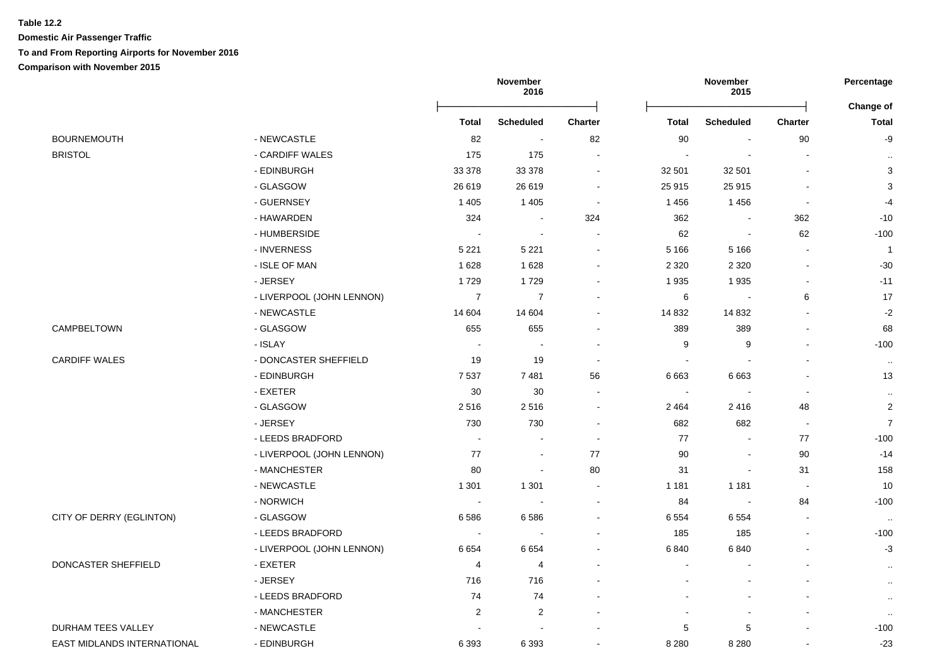## **Table 12.2 Domestic Air Passenger Traffic To and From Reporting Airports for November 2016 Comparison with November 2015**

|                                      |                           |                         | <b>November</b><br>2016 |                          | November<br>2015 |                               | Percentage               |                           |
|--------------------------------------|---------------------------|-------------------------|-------------------------|--------------------------|------------------|-------------------------------|--------------------------|---------------------------|
|                                      |                           | <b>Total</b>            | <b>Scheduled</b>        | <b>Charter</b>           | <b>Total</b>     | <b>Scheduled</b>              | <b>Charter</b>           | Change of<br><b>Total</b> |
|                                      | - NEWCASTLE               |                         | $\blacksquare$          |                          |                  | $\blacksquare$                |                          |                           |
| <b>BOURNEMOUTH</b><br><b>BRISTOL</b> | - CARDIFF WALES           | 82<br>175               | 175                     | 82<br>$\sim$             | 90               |                               | 90<br>$\blacksquare$     | -9                        |
|                                      | - EDINBURGH               | 33 378                  | 33 378                  | $\sim$                   | 32 501           | 32 501                        | $\overline{\phantom{a}}$ | $\cdot$<br>3              |
|                                      | - GLASGOW                 | 26 619                  | 26 619                  | $\sim$                   | 25 915           | 25 915                        |                          | $\ensuremath{\mathsf{3}}$ |
|                                      | - GUERNSEY                | 1 4 0 5                 | 1 4 0 5                 | $\overline{\phantom{a}}$ | 1456             | 1456                          | $\overline{\phantom{a}}$ | $-4$                      |
|                                      | - HAWARDEN                | 324                     |                         | 324                      | 362              |                               | 362                      | $-10$                     |
|                                      | - HUMBERSIDE              |                         | $\sim$                  | $\overline{\phantom{a}}$ | 62               | $\blacksquare$                | 62                       | $-100$                    |
|                                      | - INVERNESS               | 5 2 2 1                 | 5 2 2 1                 | $\blacksquare$           | 5 1 6 6          | 5 1 6 6                       | $\sim$                   | $\overline{1}$            |
|                                      | - ISLE OF MAN             | 1628                    | 1 6 2 8                 | $\blacksquare$           |                  | 2 3 2 0                       |                          | $-30$                     |
|                                      | - JERSEY                  | 1729                    | 1729                    | $\sim$                   | 2 3 2 0<br>1935  | 1935                          | $\blacksquare$           | $-11$                     |
|                                      | - LIVERPOOL (JOHN LENNON) | $\overline{7}$          | $\overline{7}$          | $\blacksquare$           | 6                | $\overline{\phantom{a}}$      | 6                        | $17$                      |
|                                      |                           | 14 604                  |                         | $\blacksquare$           |                  |                               |                          | $-2$                      |
| CAMPBELTOWN                          | - NEWCASTLE<br>- GLASGOW  | 655                     | 14 604<br>655           | $\ddot{\phantom{a}}$     | 14 8 32          | 14 8 32<br>389                | $\blacksquare$           | 68                        |
|                                      |                           | $\sim$                  | $\sim$                  | $\overline{\phantom{a}}$ | 389              |                               | ÷                        |                           |
|                                      | - ISLAY                   |                         |                         | $\overline{\phantom{a}}$ | 9<br>$\sim$      | 9<br>$\overline{\phantom{a}}$ |                          | $-100$                    |
| <b>CARDIFF WALES</b>                 | - DONCASTER SHEFFIELD     | 19                      | 19                      |                          |                  |                               | $\overline{\phantom{a}}$ | $\ldots$                  |
|                                      | - EDINBURGH               | 7537                    | 7481                    | 56                       | 6663             | 6663                          | $\sim$                   | 13                        |
|                                      | - EXETER                  | 30                      | 30                      | $\blacksquare$           | $\overline{a}$   |                               | ÷,                       | $\cdot$ .                 |
|                                      | - GLASGOW                 | 2516                    | 2516                    | $\sim$                   | 2 4 6 4          | 2416                          | 48                       | $\overline{2}$            |
|                                      | - JERSEY                  | 730                     | 730                     | $\blacksquare$           | 682              | 682                           | $\blacksquare$           | $\overline{7}$            |
|                                      | - LEEDS BRADFORD          |                         |                         | $\overline{\phantom{a}}$ | 77               |                               | 77                       | $-100$                    |
|                                      | - LIVERPOOL (JOHN LENNON) | 77                      | $\sim$                  | 77                       | 90               |                               | 90                       | $-14$                     |
|                                      | - MANCHESTER              | 80                      | $\blacksquare$          | 80                       | 31               | $\blacksquare$                | 31                       | 158                       |
|                                      | - NEWCASTLE               | 1 3 0 1                 | 1 3 0 1                 | $\blacksquare$           | 1 1 8 1          | 1 1 8 1                       | $\overline{\phantom{a}}$ | 10                        |
|                                      | - NORWICH                 |                         |                         | $\overline{\phantom{a}}$ | 84               | $\sim$                        | 84                       | $-100$                    |
| CITY OF DERRY (EGLINTON)             | - GLASGOW                 | 6586                    | 6586                    | $\blacksquare$           | 6554             | 6 5 5 4                       | $\blacksquare$           | $\cdot$ .                 |
|                                      | - LEEDS BRADFORD          |                         |                         | $\blacksquare$           | 185              | 185                           | $\blacksquare$           | $-100$                    |
|                                      | - LIVERPOOL (JOHN LENNON) | 6654                    | 6654                    | $\sim$                   | 6840             | 6840                          | $\overline{\phantom{a}}$ | $-3$                      |
| DONCASTER SHEFFIELD                  | - EXETER                  | 4                       | 4                       | $\sim$                   | $\blacksquare$   |                               |                          | $\cdot$                   |
|                                      | - JERSEY                  | 716                     | 716                     |                          |                  |                               |                          | $\cdot$ .                 |
|                                      | - LEEDS BRADFORD          | 74                      | 74                      |                          |                  |                               |                          | $\sim$                    |
|                                      | - MANCHESTER              | $\overline{\mathbf{c}}$ | $\sqrt{2}$              |                          |                  |                               |                          | $\cdot$ .                 |
| <b>DURHAM TEES VALLEY</b>            | - NEWCASTLE               |                         |                         |                          | 5                | 5                             |                          | $-100$                    |
| EAST MIDLANDS INTERNATIONAL          | - EDINBURGH               | 6 3 9 3                 | 6 3 9 3                 | $\sim$                   | 8 2 8 0          | 8 2 8 0                       |                          | $-23$                     |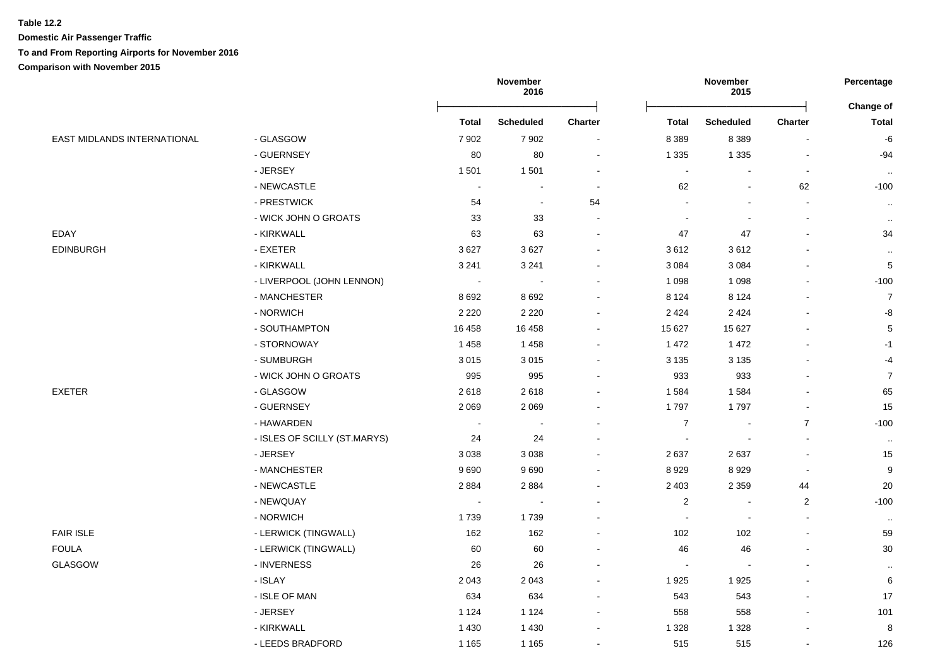**Domestic Air Passenger Traffic**

## **To and From Reporting Airports for November 2016**

**Comparison with November 2015**

|                             |                              | November<br>2016         |                  |                          | Percentage<br><b>Change of</b> |                  |                |                |
|-----------------------------|------------------------------|--------------------------|------------------|--------------------------|--------------------------------|------------------|----------------|----------------|
|                             |                              | <b>Total</b>             | <b>Scheduled</b> | <b>Charter</b>           | <b>Total</b>                   | <b>Scheduled</b> | <b>Charter</b> | <b>Total</b>   |
| EAST MIDLANDS INTERNATIONAL | - GLASGOW                    | 7 9 0 2                  | 7 9 0 2          | $\overline{\phantom{a}}$ | 8 3 8 9                        | 8 3 8 9          |                | -6             |
|                             | - GUERNSEY                   | 80                       | 80               | $\blacksquare$           | 1 3 3 5                        | 1 3 3 5          |                | $-94$          |
|                             | - JERSEY                     | 1501                     | 1 501            |                          | $\blacksquare$                 |                  |                | $\sim$         |
|                             | - NEWCASTLE                  | $\sim$                   |                  | $\overline{\phantom{a}}$ | 62                             |                  | 62             | $-100$         |
|                             | - PRESTWICK                  | 54                       | $\blacksquare$   | 54                       |                                |                  |                | $\sim$         |
|                             | - WICK JOHN O GROATS         | 33                       | 33               |                          |                                |                  |                | $\cdot$ .      |
| EDAY                        | - KIRKWALL                   | 63                       | 63               |                          | 47                             | 47               |                | 34             |
| EDINBURGH                   | - EXETER                     | 3627                     | 3 6 27           |                          | 3612                           | 3612             |                | $\cdot$ .      |
|                             | - KIRKWALL                   | 3 2 4 1                  | 3 2 4 1          |                          | 3 0 8 4                        | 3 0 8 4          |                | $\mathbf 5$    |
|                             | - LIVERPOOL (JOHN LENNON)    | $\sim$                   |                  |                          | 1 0 9 8                        | 1 0 9 8          |                | $-100$         |
|                             | - MANCHESTER                 | 8692                     | 8 6 9 2          |                          | 8 1 2 4                        | 8 1 2 4          |                | $\overline{7}$ |
|                             | - NORWICH                    | 2 2 2 0                  | 2 2 2 0          |                          | 2424                           | 2 4 2 4          |                | -8             |
|                             | - SOUTHAMPTON                | 16 4 58                  | 16 458           |                          | 15 627                         | 15 627           |                | $\mathbf 5$    |
|                             | - STORNOWAY                  | 1458                     | 1 4 5 8          |                          | 1 4 7 2                        | 1 4 7 2          |                | $-1$           |
|                             | - SUMBURGH                   | 3015                     | 3 0 1 5          |                          | 3 1 3 5                        | 3 1 3 5          |                | $-4$           |
|                             | - WICK JOHN O GROATS         | 995                      | 995              |                          | 933                            | 933              |                | $\overline{7}$ |
| <b>EXETER</b>               | - GLASGOW                    | 2618                     | 2618             |                          | 1584                           | 1584             |                | 65             |
|                             | - GUERNSEY                   | 2 0 6 9                  | 2 0 6 9          |                          | 1797                           | 1797             |                | 15             |
|                             | - HAWARDEN                   | $\overline{\phantom{a}}$ |                  |                          | $\overline{7}$                 | $\sim$           | $\overline{7}$ | $-100$         |
|                             | - ISLES OF SCILLY (ST.MARYS) | 24                       | 24               |                          | $\sim$                         | $\blacksquare$   |                | $\sim$         |
|                             | - JERSEY                     | 3038                     | 3 0 38           |                          | 2637                           | 2637             |                | 15             |
|                             | - MANCHESTER                 | 9690                     | 9690             |                          | 8929                           | 8929             |                | $9\,$          |
|                             | - NEWCASTLE                  | 2884                     | 2884             |                          | 2 4 0 3                        | 2 3 5 9          | 44             | $20\,$         |
|                             | - NEWQUAY                    | $\overline{\phantom{a}}$ |                  |                          | $\overline{2}$                 |                  | $\overline{2}$ | $-100$         |
|                             | - NORWICH                    | 1739                     | 1739             |                          | $\overline{\phantom{a}}$       | $\blacksquare$   |                | $\sim$         |
| <b>FAIR ISLE</b>            | - LERWICK (TINGWALL)         | 162                      | 162              |                          | 102                            | 102              |                | 59             |
| <b>FOULA</b>                | - LERWICK (TINGWALL)         | 60                       | 60               |                          | 46                             | 46               |                | $30\,$         |
| GLASGOW                     | - INVERNESS                  | 26                       | 26               |                          | $\overline{\phantom{a}}$       |                  |                | $\cdot$ .      |
|                             | - ISLAY                      | 2043                     | 2 0 4 3          |                          | 1925                           | 1925             |                | 6              |
|                             | - ISLE OF MAN                | 634                      | 634              |                          | 543                            | 543              |                | 17             |
|                             | - JERSEY                     | 1 1 2 4                  | 1 1 2 4          |                          | 558                            | 558              |                | 101            |
|                             | - KIRKWALL                   | 1 4 3 0                  | 1 4 3 0          |                          | 1 3 2 8                        | 1 3 2 8          |                | 8              |
|                             | - LEEDS BRADFORD             | 1 1 6 5                  | 1 1 6 5          | $\blacksquare$           | 515                            | 515              |                | 126            |
|                             |                              |                          |                  |                          |                                |                  |                |                |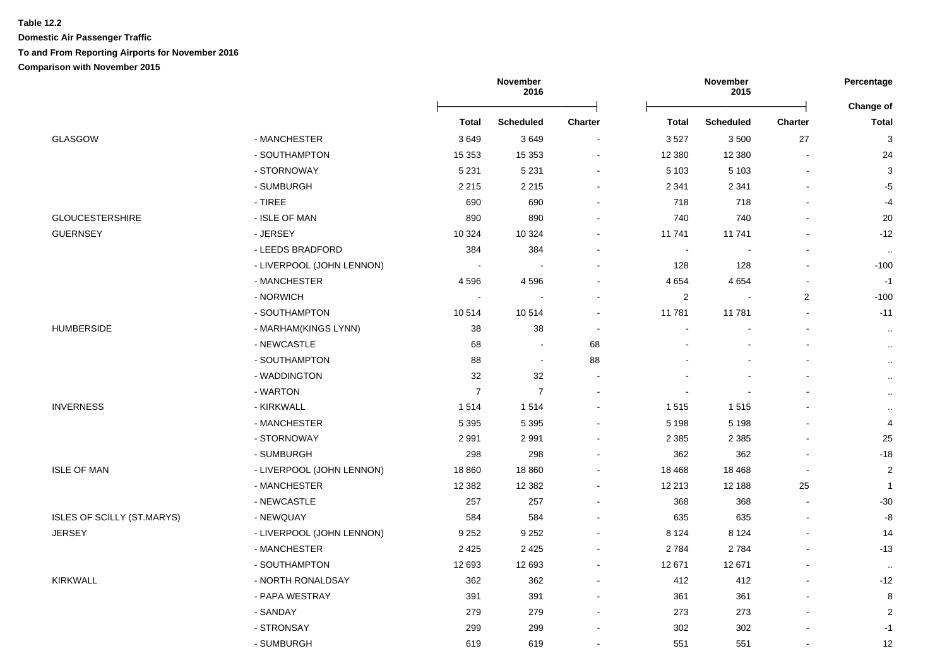# **Table 12.2 Domestic Air Passenger Traffic To and From Reporting Airports for November 2016**

**Comparison with November 2015**

|                                   |                           |                | November<br>2016 |                          |                | November<br>2015 |                          |                           |  |
|-----------------------------------|---------------------------|----------------|------------------|--------------------------|----------------|------------------|--------------------------|---------------------------|--|
|                                   |                           | Total          | <b>Scheduled</b> | Charter                  | <b>Total</b>   | <b>Scheduled</b> | <b>Charter</b>           | Change of<br><b>Total</b> |  |
| <b>GLASGOW</b>                    | - MANCHESTER              | 3649           | 3649             |                          | 3527           | 3500             | 27                       | 3                         |  |
|                                   | - SOUTHAMPTON             | 15 3 53        | 15 3 53          | $\blacksquare$           | 12 3 8 0       | 12 3 8 0         | $\sim$                   | 24                        |  |
|                                   | - STORNOWAY               | 5 2 3 1        | 5 2 3 1          | $\blacksquare$           | 5 1 0 3        | 5 1 0 3          | $\blacksquare$           | 3                         |  |
|                                   | - SUMBURGH                | 2 2 1 5        | 2 2 1 5          | $\blacksquare$           | 2 3 4 1        | 2 3 4 1          | $\overline{a}$           | $-5$                      |  |
|                                   | - TIREE                   | 690            | 690              | $\blacksquare$           | 718            | 718              | $\blacksquare$           | $-4$                      |  |
| <b>GLOUCESTERSHIRE</b>            | - ISLE OF MAN             | 890            | 890              |                          | 740            | 740              |                          | 20                        |  |
| <b>GUERNSEY</b>                   | - JERSEY                  | 10 3 24        | 10 324           |                          | 11 741         | 11 741           |                          | $-12$                     |  |
|                                   | - LEEDS BRADFORD          | 384            | 384              |                          | $\blacksquare$ |                  |                          | $\cdot$ .                 |  |
|                                   | - LIVERPOOL (JOHN LENNON) |                |                  | $\blacksquare$           | 128            | 128              | $\overline{a}$           | $-100$                    |  |
|                                   | - MANCHESTER              | 4596           | 4 5 9 6          |                          | 4 6 5 4        | 4 6 5 4          | ä,                       | $-1$                      |  |
|                                   | - NORWICH                 | $\sim$         |                  | $\blacksquare$           | 2              |                  | $\overline{2}$           | $-100$                    |  |
|                                   | - SOUTHAMPTON             | 10514          | 10 514           | $\blacksquare$           | 11 781         | 11 781           | $\blacksquare$           | $-11$                     |  |
| <b>HUMBERSIDE</b>                 | - MARHAM(KINGS LYNN)      | 38             | 38               | $\sim$                   | $\blacksquare$ |                  | $\overline{\phantom{a}}$ | $\cdot$                   |  |
|                                   | - NEWCASTLE               | 68             |                  | 68                       |                |                  |                          | $\ldots$                  |  |
|                                   | - SOUTHAMPTON             | 88             | $\sim$           | 88                       |                |                  |                          | $\ldots$                  |  |
|                                   | - WADDINGTON              | 32             | $32\,$           | $\blacksquare$           |                |                  |                          | $\ldots$                  |  |
|                                   | - WARTON                  | $\overline{7}$ | $\overline{7}$   | $\blacksquare$           |                |                  |                          | $\cdot$ .                 |  |
| <b>INVERNESS</b>                  | - KIRKWALL                | 1514           | 1514             | $\overline{\phantom{a}}$ | 1515           | 1515             |                          | $\cdot$ .                 |  |
|                                   | - MANCHESTER              | 5 3 9 5        | 5 3 9 5          | $\sim$                   | 5 1 9 8        | 5 1 9 8          |                          | 4                         |  |
|                                   | - STORNOWAY               | 2991           | 2 9 9 1          | $\blacksquare$           | 2 3 8 5        | 2 3 8 5          | $\blacksquare$           | 25                        |  |
|                                   | - SUMBURGH                | 298            | 298              | $\blacksquare$           | 362            | 362              | $\sim$                   | $-18$                     |  |
| <b>ISLE OF MAN</b>                | - LIVERPOOL (JOHN LENNON) | 18 8 60        | 18 860           | $\blacksquare$           | 18 4 68        | 18 4 68          | $\sim$                   | $\overline{2}$            |  |
|                                   | - MANCHESTER              | 12 3 8 2       | 12 3 8 2         |                          | 12 213         | 12 188           | 25                       | $\mathbf{1}$              |  |
|                                   | - NEWCASTLE               | 257            | 257              |                          | 368            | 368              |                          | $-30$                     |  |
| <b>ISLES OF SCILLY (ST.MARYS)</b> | - NEWQUAY                 | 584            | 584              |                          | 635            | 635              | $\sim$                   | -8                        |  |
| <b>JERSEY</b>                     | - LIVERPOOL (JOHN LENNON) | 9 2 5 2        | 9 2 5 2          |                          | 8 1 2 4        | 8 1 2 4          | $\sim$                   | 14                        |  |
|                                   | - MANCHESTER              | 2 4 2 5        | 2 4 2 5          | $\blacksquare$           | 2784           | 2784             |                          | $-13$                     |  |
|                                   | - SOUTHAMPTON             | 12 693         | 12 693           | $\blacksquare$           | 12 671         | 12 671           | $\sim$                   | $\cdot$ .                 |  |
| <b>KIRKWALL</b>                   | - NORTH RONALDSAY         | 362            | 362              | $\blacksquare$           | 412            | 412              | $\blacksquare$           | $-12$                     |  |
|                                   | - PAPA WESTRAY            | 391            | 391              | $\blacksquare$           | 361            | 361              | $\overline{a}$           | 8                         |  |
|                                   | - SANDAY                  | 279            | 279              |                          | 273            | 273              |                          | 2                         |  |
|                                   | - STRONSAY                | 299            | 299              |                          | 302            | 302              |                          | $-1$                      |  |
|                                   | - SUMBURGH                | 619            | 619              | $\sim$                   | 551            | 551              | $\sim$                   | 12                        |  |